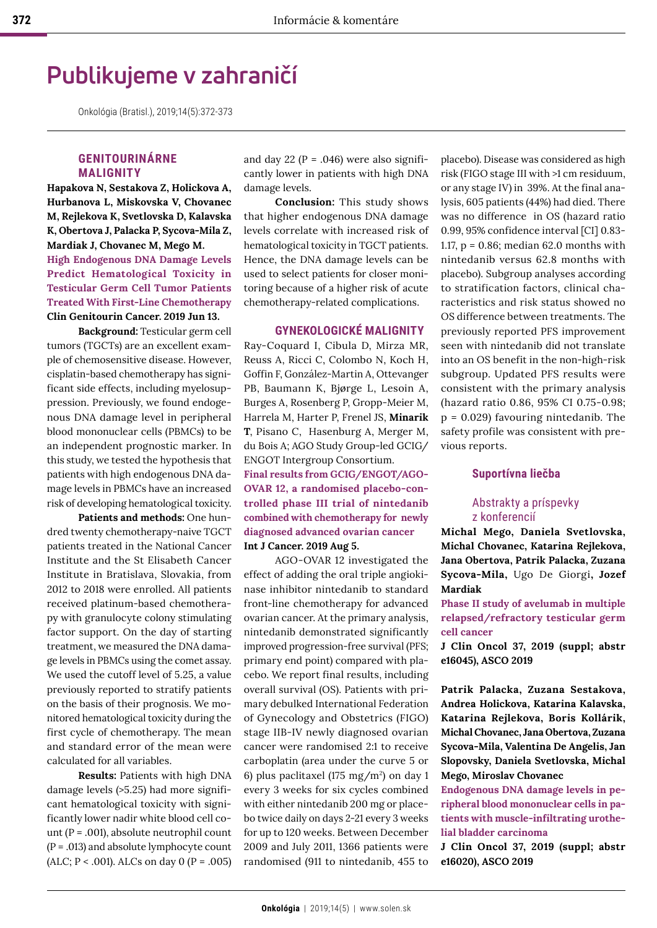# **Publikujeme v zahraničí**

Onkológia (Bratisl.), 2019;14(5):372-373

## **GENITOURINÁRNE MALIGNITY**

**Hapakova N, Sestakova Z, Holickova A, Hurbanova L, Miskovska V, Chovanec M, Rejlekova K, Svetlovska D, Kalavska K, Obertova J, Palacka P, Sycova-Mila Z, Mardiak J, Chovanec M, Mego M. High Endogenous DNA Damage Levels Predict Hematological Toxicity in Testicular Germ Cell Tumor Patients Treated With First-Line Chemotherapy Clin Genitourin Cancer. 2019 Jun 13.**

**Background:** Testicular germ cell tumors (TGCTs) are an excellent example of chemosensitive disease. However, cisplatin-based chemotherapy has significant side effects, including myelosuppression. Previously, we found endogenous DNA damage level in peripheral blood mononuclear cells (PBMCs) to be an independent prognostic marker. In this study, we tested the hypothesis that patients with high endogenous DNA damage levels in PBMCs have an increased risk of developing hematological toxicity.

**Patients and methods:** One hundred twenty chemotherapy-naive TGCT patients treated in the National Cancer Institute and the St Elisabeth Cancer Institute in Bratislava, Slovakia, from 2012 to 2018 were enrolled. All patients received platinum-based chemotherapy with granulocyte colony stimulating factor support. On the day of starting treatment, we measured the DNA damage levels in PBMCs using the comet assay. We used the cutoff level of 5.25, a value previously reported to stratify patients on the basis of their prognosis. We monitored hematological toxicity during the first cycle of chemotherapy. The mean and standard error of the mean were calculated for all variables.

**Results:** Patients with high DNA damage levels (>5.25) had more significant hematological toxicity with significantly lower nadir white blood cell count ( $P = .001$ ), absolute neutrophil count  $(P = .013)$  and absolute lymphocyte count (ALC;  $P < .001$ ). ALCs on day 0 (P = .005)

and day 22 ( $P = .046$ ) were also significantly lower in patients with high DNA damage levels.

**Conclusion:** This study shows that higher endogenous DNA damage levels correlate with increased risk of hematological toxicity in TGCT patients. Hence, the DNA damage levels can be used to select patients for closer monitoring because of a higher risk of acute chemotherapy-related complications.

#### **GYNEKOLOGICKÉ MALIGNITY**

Ray-Coquard I, Cibula D, Mirza MR, Reuss A, Ricci C, Colombo N, Koch H, Goffin F, González-Martin A, Ottevanger PB, Baumann K, Bjørge L, Lesoin A, Burges A, Rosenberg P, Gropp-Meier M, Harrela M, Harter P, Frenel JS, **Minarik T**, Pisano C, Hasenburg A, Merger M, du Bois A; AGO Study Group-led GCIG/ ENGOT Intergroup Consortium.

**Final results from GCIG/ENGOT/AGO-OVAR 12, a randomised placebo-controlled phase III trial of nintedanib combined with chemotherapy for newly diagnosed advanced ovarian cancer Int J Cancer. 2019 Aug 5.**

AGO-OVAR 12 investigated the effect of adding the oral triple angiokinase inhibitor nintedanib to standard front-line chemotherapy for advanced ovarian cancer. At the primary analysis, nintedanib demonstrated significantly improved progression-free survival (PFS; primary end point) compared with placebo. We report final results, including overall survival (OS). Patients with primary debulked International Federation of Gynecology and Obstetrics (FIGO) stage IIB-IV newly diagnosed ovarian cancer were randomised 2:1 to receive carboplatin (area under the curve 5 or 6) plus paclitaxel (175 mg/m<sup>2</sup> ) on day 1 every 3 weeks for six cycles combined with either nintedanib 200 mg or placebo twice daily on days 2-21 every 3 weeks for up to 120 weeks. Between December 2009 and July 2011, 1366 patients were randomised (911 to nintedanib, 455 to

placebo). Disease was considered as high risk (FIGO stage III with >1 cm residuum, or any stage IV) in 39%. At the final analysis, 605 patients (44%) had died. There was no difference in OS (hazard ratio 0.99, 95% confidence interval [CI] 0.83- 1.17, p = 0.86; median 62.0 months with nintedanib versus 62.8 months with placebo). Subgroup analyses according to stratification factors, clinical characteristics and risk status showed no OS difference between treatments. The previously reported PFS improvement seen with nintedanib did not translate into an OS benefit in the non-high-risk subgroup. Updated PFS results were consistent with the primary analysis (hazard ratio 0.86, 95% CI 0.75-0.98;  $p = 0.029$ ) favouring nintedanib. The safety profile was consistent with previous reports.

#### **Suportívna liečba**

### Abstrakty a príspevky z konferencií

**Michal Mego, Daniela Svetlovska, Michal Chovanec, Katarina Rejlekova, Jana Obertova, Patrik Palacka, Zuzana Sycova-Mila,** Ugo De Giorgi**, Jozef Mardiak** 

**Phase II study of avelumab in multiple relapsed/refractory testicular germ cell cancer** 

**J Clin Oncol 37, 2019 (suppl; abstr e16045), ASCO 2019**

**Patrik Palacka, Zuzana Sestakova, Andrea Holickova, Katarina Kalavska, Katarina Rejlekova, Boris Kollárik, Michal Chovanec, Jana Obertova, Zuzana Sycova-Mila, Valentina De Angelis, Jan Slopovsky, Daniela Svetlovska, Michal Mego, Miroslav Chovanec** 

**Endogenous DNA damage levels in peripheral blood mononuclear cells in patients with muscle-infiltrating urothelial bladder carcinoma**

**J Clin Oncol 37, 2019 (suppl; abstr e16020), ASCO 2019**